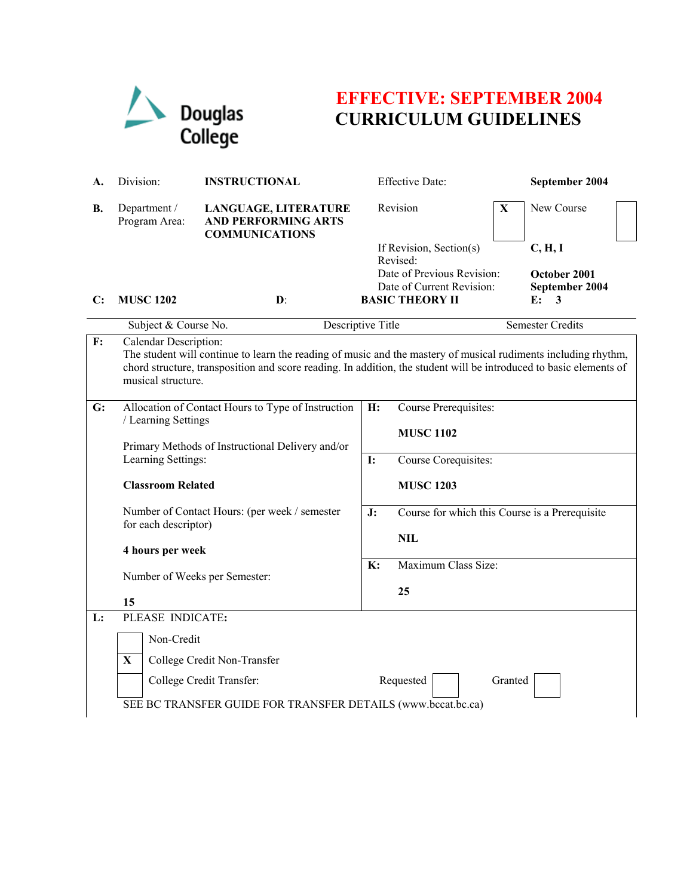

## **EFFECTIVE: SEPTEMBER 2004 CURRICULUM GUIDELINES**

| A. | Division:                                                                                                                                                                                                                                                                           | <b>INSTRUCTIONAL</b>                                                        |                | <b>Effective Date:</b>                                  |   | September 2004                 |  |  |
|----|-------------------------------------------------------------------------------------------------------------------------------------------------------------------------------------------------------------------------------------------------------------------------------------|-----------------------------------------------------------------------------|----------------|---------------------------------------------------------|---|--------------------------------|--|--|
| В. | Department /<br>Program Area:                                                                                                                                                                                                                                                       | LANGUAGE, LITERATURE<br><b>AND PERFORMING ARTS</b><br><b>COMMUNICATIONS</b> |                | Revision                                                | X | New Course                     |  |  |
|    |                                                                                                                                                                                                                                                                                     |                                                                             |                | If Revision, Section(s)<br>Revised:                     |   | C, H, I                        |  |  |
|    |                                                                                                                                                                                                                                                                                     |                                                                             |                | Date of Previous Revision:<br>Date of Current Revision: |   | October 2001<br>September 2004 |  |  |
| C: | <b>MUSC 1202</b>                                                                                                                                                                                                                                                                    | $\mathbf{D}$ :                                                              |                | <b>BASIC THEORY II</b>                                  |   | E:<br>3                        |  |  |
|    | Subject & Course No.<br>Descriptive Title                                                                                                                                                                                                                                           |                                                                             |                | Semester Credits                                        |   |                                |  |  |
| F: | Calendar Description:<br>The student will continue to learn the reading of music and the mastery of musical rudiments including rhythm,<br>chord structure, transposition and score reading. In addition, the student will be introduced to basic elements of<br>musical structure. |                                                                             |                |                                                         |   |                                |  |  |
| G: | Allocation of Contact Hours to Type of Instruction<br>/ Learning Settings<br>Primary Methods of Instructional Delivery and/or                                                                                                                                                       |                                                                             | H:             | Course Prerequisites:<br><b>MUSC 1102</b>               |   |                                |  |  |
|    | Learning Settings:                                                                                                                                                                                                                                                                  |                                                                             | <b>I:</b>      | Course Corequisites:                                    |   |                                |  |  |
|    |                                                                                                                                                                                                                                                                                     | <b>Classroom Related</b>                                                    |                | <b>MUSC 1203</b>                                        |   |                                |  |  |
|    | Number of Contact Hours: (per week / semester<br>for each descriptor)<br>4 hours per week<br>Number of Weeks per Semester:<br>15                                                                                                                                                    |                                                                             | J:             | Course for which this Course is a Prerequisite          |   |                                |  |  |
|    |                                                                                                                                                                                                                                                                                     |                                                                             |                | <b>NIL</b>                                              |   |                                |  |  |
|    |                                                                                                                                                                                                                                                                                     |                                                                             | $\mathbf{K}$ : | Maximum Class Size:<br>25                               |   |                                |  |  |
|    |                                                                                                                                                                                                                                                                                     |                                                                             |                |                                                         |   |                                |  |  |
| L: | PLEASE INDICATE:                                                                                                                                                                                                                                                                    |                                                                             |                |                                                         |   |                                |  |  |
|    | Non-Credit                                                                                                                                                                                                                                                                          |                                                                             |                |                                                         |   |                                |  |  |
|    | $\mathbf{X}$                                                                                                                                                                                                                                                                        | College Credit Non-Transfer                                                 |                |                                                         |   |                                |  |  |
|    |                                                                                                                                                                                                                                                                                     | College Credit Transfer:                                                    |                | Requested<br>Granted                                    |   |                                |  |  |
|    | SEE BC TRANSFER GUIDE FOR TRANSFER DETAILS (www.bccat.bc.ca)                                                                                                                                                                                                                        |                                                                             |                |                                                         |   |                                |  |  |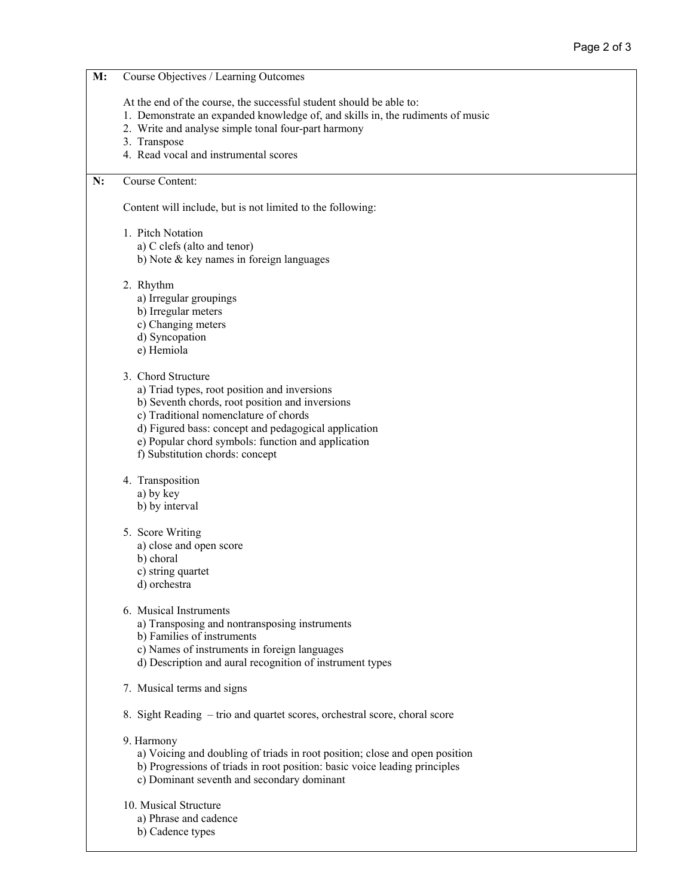## **M:** Course Objectives / Learning Outcomes At the end of the course, the successful student should be able to: 1. Demonstrate an expanded knowledge of, and skills in, the rudiments of music 2. Write and analyse simple tonal four-part harmony 3. Transpose 4. Read vocal and instrumental scores **N:** Course Content: Content will include, but is not limited to the following: 1. Pitch Notation a) C clefs (alto and tenor) b) Note & key names in foreign languages 2. Rhythm a) Irregular groupings b) Irregular meters c) Changing meters d) Syncopation e) Hemiola 3. Chord Structure a) Triad types, root position and inversions b) Seventh chords, root position and inversions c) Traditional nomenclature of chords d) Figured bass: concept and pedagogical application e) Popular chord symbols: function and application f) Substitution chords: concept 4. Transposition a) by key b) by interval 5. Score Writing a) close and open score b) choral c) string quartet d) orchestra 6. Musical Instruments a) Transposing and nontransposing instruments b) Families of instruments c) Names of instruments in foreign languages d) Description and aural recognition of instrument types 7. Musical terms and signs 8. Sight Reading – trio and quartet scores, orchestral score, choral score 9. Harmony a) Voicing and doubling of triads in root position; close and open position b) Progressions of triads in root position: basic voice leading principles c) Dominant seventh and secondary dominant 10. Musical Structure a) Phrase and cadence

- 
- b) Cadence types